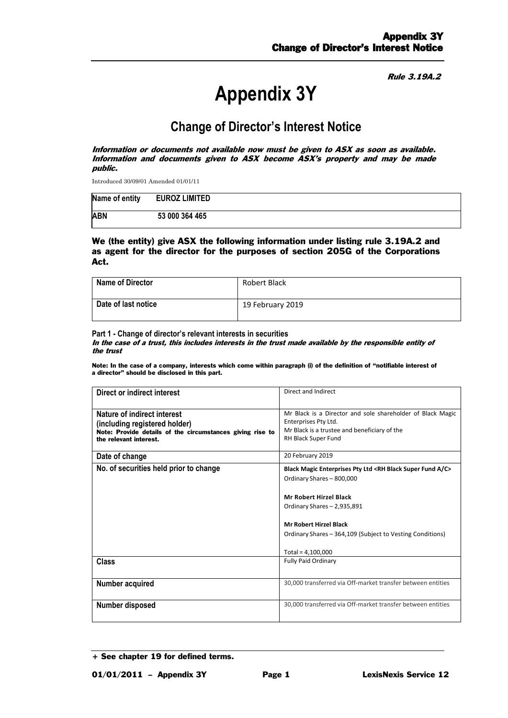Rule 3.19A.2

# **Appendix 3Y**

# **Change of Director's Interest Notice**

Information or documents not available now must be given to ASX as soon as available. Information and documents given to ASX become ASX's property and may be made public.

Introduced 30/09/01 Amended 01/01/11

| Name of entity | <b>EUROZ LIMITED</b> |  |
|----------------|----------------------|--|
| <b>ABN</b>     | 53 000 364 465       |  |

### We (the entity) give ASX the following information under listing rule 3.19A.2 and as agent for the director for the purposes of section 205G of the Corporations Act.

| <b>Name of Director</b> | Robert Black     |
|-------------------------|------------------|
| Date of last notice     | 19 February 2019 |

#### **Part 1 - Change of director's relevant interests in securities** In the case of a trust, this includes interests in the trust made available by the responsible entity of the trust

Note: In the case of a company, interests which come within paragraph (i) of the definition of "notifiable interest of a director" should be disclosed in this part.

| Direct or indirect interest                                                                                                                         | Direct and Indirect                                                                                                                                                                                                                                                           |
|-----------------------------------------------------------------------------------------------------------------------------------------------------|-------------------------------------------------------------------------------------------------------------------------------------------------------------------------------------------------------------------------------------------------------------------------------|
| Nature of indirect interest<br>(including registered holder)<br>Note: Provide details of the circumstances giving rise to<br>the relevant interest. | Mr Black is a Director and sole shareholder of Black Magic<br>Enterprises Pty Ltd.<br>Mr Black is a trustee and beneficiary of the<br>RH Black Super Fund                                                                                                                     |
| Date of change                                                                                                                                      | 20 February 2019                                                                                                                                                                                                                                                              |
| No. of securities held prior to change                                                                                                              | Black Magic Enterprises Pty Ltd <rh a="" black="" c="" fund="" super=""><br/>Ordinary Shares - 800,000<br/><b>Mr Robert Hirzel Black</b><br/>Ordinary Shares - 2,935,891<br/><b>Mr Robert Hirzel Black</b><br/>Ordinary Shares - 364,109 (Subject to Vesting Conditions)</rh> |
|                                                                                                                                                     | Total = $4,100,000$                                                                                                                                                                                                                                                           |
| <b>Class</b>                                                                                                                                        | <b>Fully Paid Ordinary</b>                                                                                                                                                                                                                                                    |
| Number acquired                                                                                                                                     | 30,000 transferred via Off-market transfer between entities                                                                                                                                                                                                                   |
| Number disposed                                                                                                                                     | 30,000 transferred via Off-market transfer between entities                                                                                                                                                                                                                   |

<sup>+</sup> See chapter 19 for defined terms.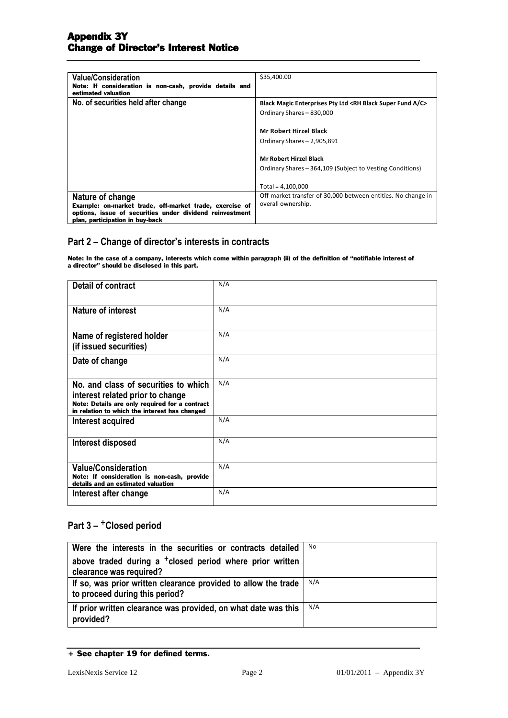### Appendix 3Y Change of Director's Interest Notice

| <b>Value/Consideration</b>                                                                                                                                                 | \$35,400.00                                                                                                 |
|----------------------------------------------------------------------------------------------------------------------------------------------------------------------------|-------------------------------------------------------------------------------------------------------------|
| Note: If consideration is non-cash, provide details and<br>estimated valuation                                                                                             |                                                                                                             |
| No. of securities held after change                                                                                                                                        | Black Magic Enterprises Pty Ltd <rh a="" black="" c="" fund="" super=""><br/>Ordinary Shares - 830,000</rh> |
|                                                                                                                                                                            | <b>Mr Robert Hirzel Black</b><br>Ordinary Shares - 2,905,891                                                |
|                                                                                                                                                                            | <b>Mr Robert Hirzel Black</b><br>Ordinary Shares – 364,109 (Subject to Vesting Conditions)                  |
|                                                                                                                                                                            | Total = $4,100,000$                                                                                         |
| Nature of change<br>Example: on-market trade, off-market trade, exercise of<br>options, issue of securities under dividend reinvestment<br>plan, participation in buy-back | Off-market transfer of 30,000 between entities. No change in<br>overall ownership.                          |

## **Part 2 – Change of director's interests in contracts**

Note: In the case of a company, interests which come within paragraph (ii) of the definition of "notifiable interest of a director" should be disclosed in this part.

| Detail of contract                                                                                                                                                          | N/A |
|-----------------------------------------------------------------------------------------------------------------------------------------------------------------------------|-----|
| Nature of interest                                                                                                                                                          | N/A |
| Name of registered holder<br>(if issued securities)                                                                                                                         | N/A |
| Date of change                                                                                                                                                              | N/A |
| No. and class of securities to which<br>interest related prior to change<br>Note: Details are only required for a contract<br>in relation to which the interest has changed | N/A |
| Interest acquired                                                                                                                                                           | N/A |
| Interest disposed                                                                                                                                                           | N/A |
| <b>Value/Consideration</b><br>Note: If consideration is non-cash, provide<br>details and an estimated valuation                                                             | N/A |
| Interest after change                                                                                                                                                       | N/A |

## **Part 3 –** +**Closed period**

| Were the interests in the securities or contracts detailed                                       | No. |
|--------------------------------------------------------------------------------------------------|-----|
| above traded during a <sup>+</sup> closed period where prior written                             |     |
| clearance was required?                                                                          |     |
| If so, was prior written clearance provided to allow the trade<br>to proceed during this period? | N/A |
| If prior written clearance was provided, on what date was this<br>provided?                      | N/A |

<sup>+</sup> See chapter 19 for defined terms.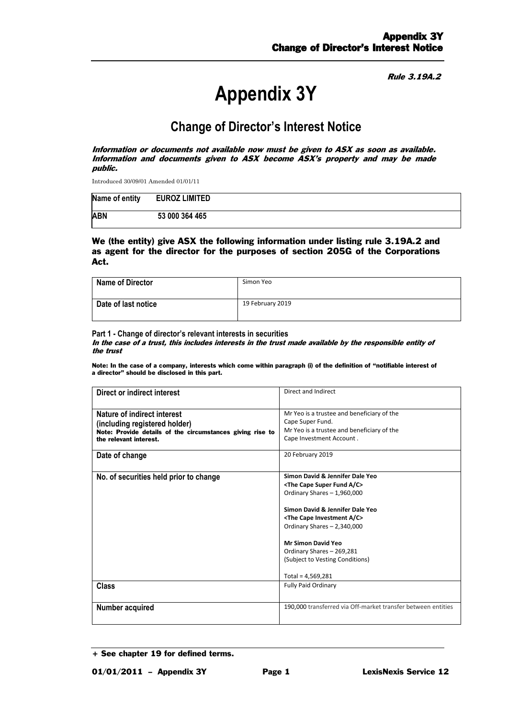Rule 3.19A.2

# **Appendix 3Y**

# **Change of Director's Interest Notice**

Information or documents not available now must be given to ASX as soon as available. Information and documents given to ASX become ASX's property and may be made public.

Introduced 30/09/01 Amended 01/01/11

| Name of entity | <b>EUROZ LIMITED</b> |  |
|----------------|----------------------|--|
| <b>ABN</b>     | 53 000 364 465       |  |

### We (the entity) give ASX the following information under listing rule 3.19A.2 and as agent for the director for the purposes of section 205G of the Corporations Act.

| <b>Name of Director</b> | Simon Yeo        |
|-------------------------|------------------|
| Date of last notice     | 19 February 2019 |

#### **Part 1 - Change of director's relevant interests in securities** In the case of a trust, this includes interests in the trust made available by the responsible entity of the trust

Note: In the case of a company, interests which come within paragraph (i) of the definition of "notifiable interest of a director" should be disclosed in this part.

| Direct or indirect interest                                                                                                                         | Direct and Indirect                                                                                                                                                                                                                                                                                                                                                          |
|-----------------------------------------------------------------------------------------------------------------------------------------------------|------------------------------------------------------------------------------------------------------------------------------------------------------------------------------------------------------------------------------------------------------------------------------------------------------------------------------------------------------------------------------|
| Nature of indirect interest<br>(including registered holder)<br>Note: Provide details of the circumstances giving rise to<br>the relevant interest. | Mr Yeo is a trustee and beneficiary of the<br>Cape Super Fund.<br>Mr Yeo is a trustee and beneficiary of the<br>Cape Investment Account.                                                                                                                                                                                                                                     |
| Date of change                                                                                                                                      | 20 February 2019                                                                                                                                                                                                                                                                                                                                                             |
| No. of securities held prior to change                                                                                                              | Simon David & Jennifer Dale Yeo<br><the a="" c="" cape="" fund="" super=""><br/>Ordinary Shares - 1,960,000<br/>Simon David &amp; Jennifer Dale Yeo<br/><the a="" c="" cape="" investment=""><br/>Ordinary Shares - 2,340,000<br/><b>Mr Simon David Yeo</b><br/>Ordinary Shares - 269,281<br/>(Subject to Vesting Conditions)<br/>Total = <math>4,569,281</math></the></the> |
| <b>Class</b>                                                                                                                                        | <b>Fully Paid Ordinary</b>                                                                                                                                                                                                                                                                                                                                                   |
| Number acquired                                                                                                                                     | 190,000 transferred via Off-market transfer between entities                                                                                                                                                                                                                                                                                                                 |

<sup>+</sup> See chapter 19 for defined terms.